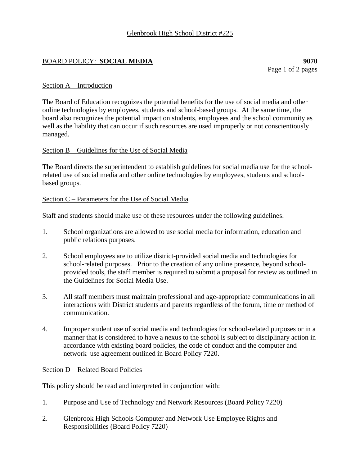# BOARD POLICY: **SOCIAL MEDIA 9070**

### Section A – Introduction

The Board of Education recognizes the potential benefits for the use of social media and other online technologies by employees, students and school-based groups. At the same time, the board also recognizes the potential impact on students, employees and the school community as well as the liability that can occur if such resources are used improperly or not conscientiously managed.

## Section B – Guidelines for the Use of Social Media

The Board directs the superintendent to establish guidelines for social media use for the schoolrelated use of social media and other online technologies by employees, students and schoolbased groups.

#### Section C – Parameters for the Use of Social Media

Staff and students should make use of these resources under the following guidelines.

- 1. School organizations are allowed to use social media for information, education and public relations purposes.
- 2. School employees are to utilize district-provided social media and technologies for school-related purposes. Prior to the creation of any online presence, beyond schoolprovided tools, the staff member is required to submit a proposal for review as outlined in the Guidelines for Social Media Use.
- 3. All staff members must maintain professional and age-appropriate communications in all interactions with District students and parents regardless of the forum, time or method of communication.
- 4. Improper student use of social media and technologies for school-related purposes or in a manner that is considered to have a nexus to the school is subject to disciplinary action in accordance with existing board policies, the code of conduct and the computer and network use agreement outlined in Board Policy 7220.

#### Section D – Related Board Policies

This policy should be read and interpreted in conjunction with:

- 1. Purpose and Use of Technology and Network Resources (Board Policy 7220)
- 2. Glenbrook High Schools Computer and Network Use Employee Rights and Responsibilities (Board Policy 7220)